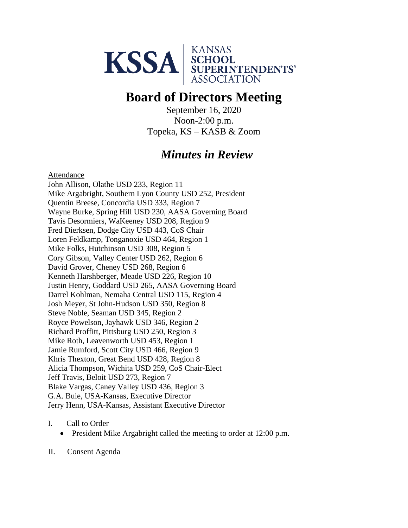

# **Board of Directors Meeting**

September 16, 2020 Noon-2:00 p.m. Topeka, KS – KASB & Zoom

## *Minutes in Review*

Attendance

John Allison, Olathe USD 233, Region 11 Mike Argabright, Southern Lyon County USD 252, President Quentin Breese, Concordia USD 333, Region 7 Wayne Burke, Spring Hill USD 230, AASA Governing Board Tavis Desormiers, WaKeeney USD 208, Region 9 Fred Dierksen, Dodge City USD 443, CoS Chair Loren Feldkamp, Tonganoxie USD 464, Region 1 Mike Folks, Hutchinson USD 308, Region 5 Cory Gibson, Valley Center USD 262, Region 6 David Grover, Cheney USD 268, Region 6 Kenneth Harshberger, Meade USD 226, Region 10 Justin Henry, Goddard USD 265, AASA Governing Board Darrel Kohlman, Nemaha Central USD 115, Region 4 Josh Meyer, St John-Hudson USD 350, Region 8 Steve Noble, Seaman USD 345, Region 2 Royce Powelson, Jayhawk USD 346, Region 2 Richard Proffitt, Pittsburg USD 250, Region 3 Mike Roth, Leavenworth USD 453, Region 1 Jamie Rumford, Scott City USD 466, Region 9 Khris Thexton, Great Bend USD 428, Region 8 Alicia Thompson, Wichita USD 259, CoS Chair-Elect Jeff Travis, Beloit USD 273, Region 7 Blake Vargas, Caney Valley USD 436, Region 3 G.A. Buie, USA-Kansas, Executive Director Jerry Henn, USA-Kansas, Assistant Executive Director

- I. Call to Order
	- President Mike Argabright called the meeting to order at 12:00 p.m.
- II. Consent Agenda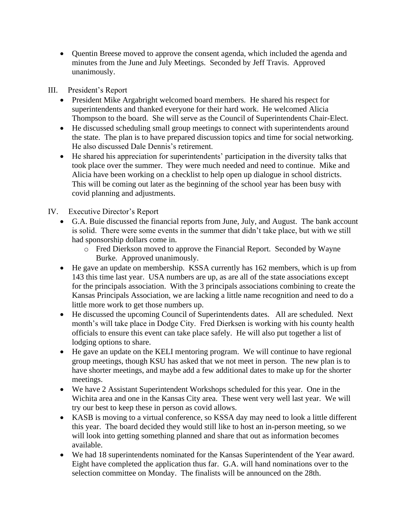• Quentin Breese moved to approve the consent agenda, which included the agenda and minutes from the June and July Meetings. Seconded by Jeff Travis. Approved unanimously.

III. President's Report

- President Mike Argabright welcomed board members. He shared his respect for superintendents and thanked everyone for their hard work. He welcomed Alicia Thompson to the board. She will serve as the Council of Superintendents Chair-Elect.
- He discussed scheduling small group meetings to connect with superintendents around the state. The plan is to have prepared discussion topics and time for social networking. He also discussed Dale Dennis's retirement.
- He shared his appreciation for superintendents' participation in the diversity talks that took place over the summer. They were much needed and need to continue. Mike and Alicia have been working on a checklist to help open up dialogue in school districts. This will be coming out later as the beginning of the school year has been busy with covid planning and adjustments.

### IV. Executive Director's Report

- G.A. Buie discussed the financial reports from June, July, and August. The bank account is solid. There were some events in the summer that didn't take place, but with we still had sponsorship dollars come in.
	- o Fred Dierkson moved to approve the Financial Report. Seconded by Wayne Burke. Approved unanimously.
- He gave an update on membership. KSSA currently has 162 members, which is up from 143 this time last year. USA numbers are up, as are all of the state associations except for the principals association. With the 3 principals associations combining to create the Kansas Principals Association, we are lacking a little name recognition and need to do a little more work to get those numbers up.
- He discussed the upcoming Council of Superintendents dates. All are scheduled. Next month's will take place in Dodge City. Fred Dierksen is working with his county health officials to ensure this event can take place safely. He will also put together a list of lodging options to share.
- He gave an update on the KELI mentoring program. We will continue to have regional group meetings, though KSU has asked that we not meet in person. The new plan is to have shorter meetings, and maybe add a few additional dates to make up for the shorter meetings.
- We have 2 Assistant Superintendent Workshops scheduled for this year. One in the Wichita area and one in the Kansas City area. These went very well last year. We will try our best to keep these in person as covid allows.
- KASB is moving to a virtual conference, so KSSA day may need to look a little different this year. The board decided they would still like to host an in-person meeting, so we will look into getting something planned and share that out as information becomes available.
- We had 18 superintendents nominated for the Kansas Superintendent of the Year award. Eight have completed the application thus far. G.A. will hand nominations over to the selection committee on Monday. The finalists will be announced on the 28th.